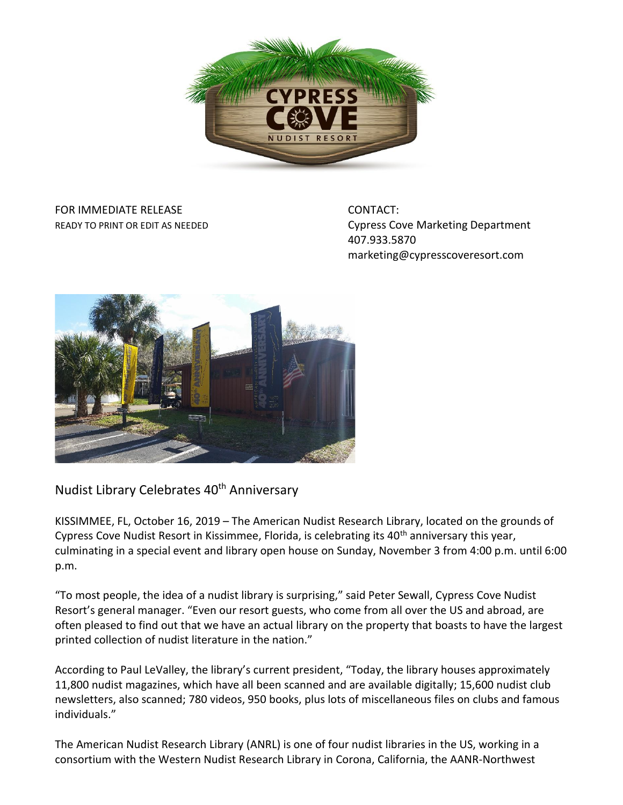

## FOR IMMEDIATE RELEASE CONTACT:

READY TO PRINT OR EDIT AS NEEDED **CONFIDENT CONSTRUSTION** Cypress Cove Marketing Department 407.933.5870 marketing@cypresscoveresort.com



Nudist Library Celebrates 40<sup>th</sup> Anniversary

KISSIMMEE, FL, October 16, 2019 – The American Nudist Research Library, located on the grounds of Cypress Cove Nudist Resort in Kissimmee, Florida, is celebrating its 40<sup>th</sup> anniversary this year, culminating in a special event and library open house on Sunday, November 3 from 4:00 p.m. until 6:00 p.m.

"To most people, the idea of a nudist library is surprising," said Peter Sewall, Cypress Cove Nudist Resort's general manager. "Even our resort guests, who come from all over the US and abroad, are often pleased to find out that we have an actual library on the property that boasts to have the largest printed collection of nudist literature in the nation."

According to Paul LeValley, the library's current president, "Today, the library houses approximately 11,800 nudist magazines, which have all been scanned and are available digitally; 15,600 nudist club newsletters, also scanned; 780 videos, 950 books, plus lots of miscellaneous files on clubs and famous individuals."

The American Nudist Research Library (ANRL) is one of four nudist libraries in the US, working in a consortium with the Western Nudist Research Library in Corona, California, the AANR-Northwest